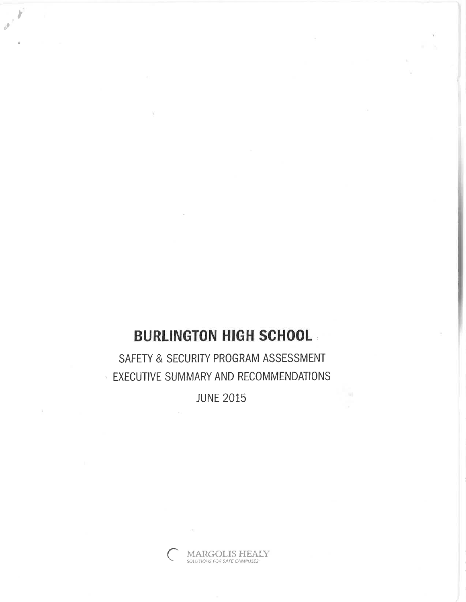# **BURLINGTON HIGH SCHOOL**

 $\bar{b}^{\bar{p}}$ 

SAFETY & SECURITY PROGRAM ASSESSMENT **EXECUTIVE SUMMARY AND RECOMMENDATIONS** 

**JUNE 2015**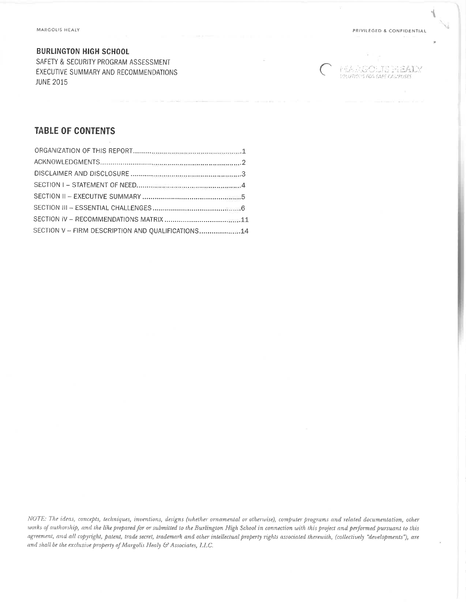### **BURLINGTON HIGH SCHOOL**

SAFETY & SECURITY PROGRAM ASSESSMENT EXECUTIVE SUMMARY AND RECOMMENDATIONS **JUNE 2015** 

**PEAR GOLTS FLEADY** 

### **TABLE OF CONTENTS**

| SECTION V - FIRM DESCRIPTION AND QUALIFICATIONS 14 |  |
|----------------------------------------------------|--|

NOTE: The ideas, concepts, techniques, inventions, designs (whether ornamental or otherwise), computer programs and related documentation, other works of authorship, and the like prepared for or submitted to the Burlington High School in connection with this project and performed pursuant to this agreement, and all copyright, patent, trade secret, trademark and other intellectual property rights associated therewith, (collectively "developments"), are and shall be the exclusive property of Margolis Healy & Associates, LLC.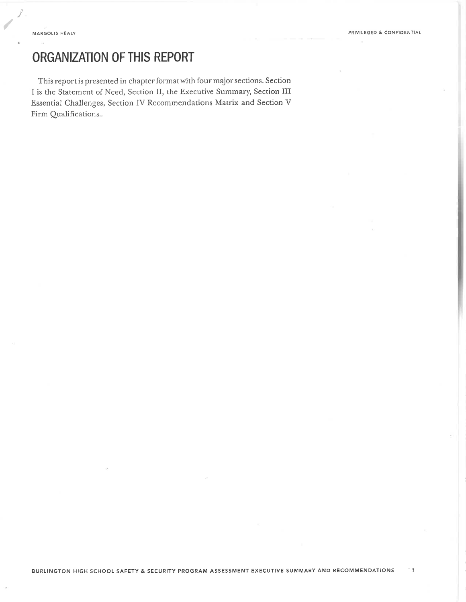J.

/

# ORGANIZATION OF THIS REPORT

This report is presented in chapter format with four major sections. Section I is the Statement of Need, Section II, the Executive Summary, Section III Essential Challenges, Section IV Recommendations Matrix and Section V Firm Qualifications..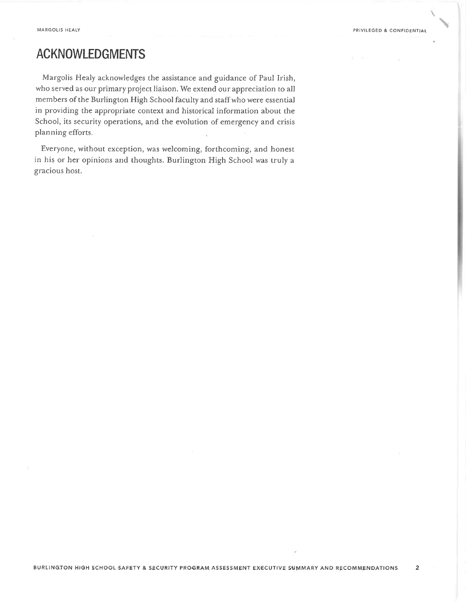$\ddot{\phantom{1}}$ 

# ACKNOWLEDGMENTS

Margoìis Healy acknowledges the assistance and guidance of Paul Irish, who served as our primary project liaison. We extend our appreciation to all members of the Burlington High School faculty and staff who were essenrial in providing the appropriate context and historical information about the School, its security operations, and the evolution of emergency and crisis planning efforts.

Everyone, without exception, was welcoming, forthcoming, and honest in his or her opinions and thoughts. Burlington High School was truly <sup>a</sup> gracious host.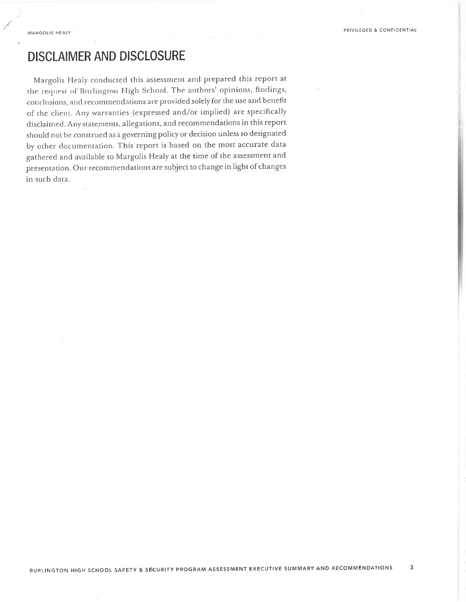### **DISCLAIMER AND DISCLOSURE**

Margolis Healy conducted this assessment and prepared this report at the request of Burlington High School. The authors' opinions, findings, conclusions, and recommendations are provided solely for the use and benefit of the client. Any warranties (expressed and/or implied) are specifically disclaimed. Any statements, allegations, and recommendations in this report should not be construed as a governing policy or decision unless so designated by other documentation. This report is based on the most accurate data gathered and available to Margolis Healy at the time of the assessment and presentation. Our recommendations are subject to change in light of changes in such data.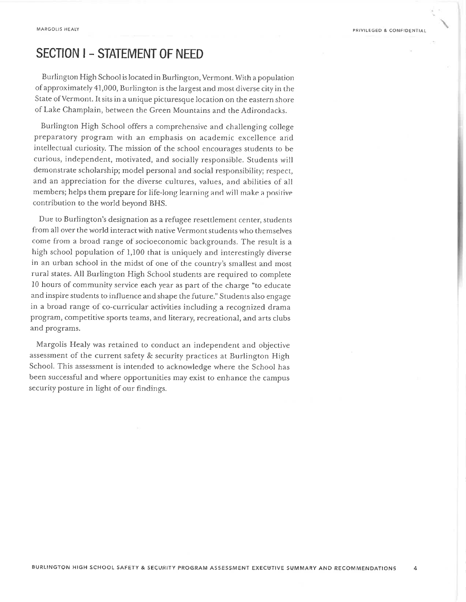# SECTION I - STATEMENT OF NEED

Burlington High School is located in Burlington, Vermonr. With a population of approximately 41,000, Burlington is the Iargesr and mosr diverse city in the State of Vermont. It sits in a unique picturesque location on the eastern shore of Lake Champlain, between the Green Mountains and the Adirondacks.

Burlington High School offers a comprehensive and challenging college preparatory program with an emphasis on academic excellence and intellectual curiosity. The mission of the school encourages students to be curious, independent, motivated, and socially responsible. Students will demonstrate scholarship; model personal and social responsibility; respecr, and an appreciation for the diverse cultures, values, and abilities of all members; helps them prepare for life-long learning and wilì make a posirive contribution to the world beyond BHS.

Due to Burlington's designation as a refugee resettlement center, students from all over the world interact with native Vermont students who themselves come fiom a broad range of'socioeconomic backgrounds. The result is <sup>a</sup> high school population of 1,100 that is uniquely and inrerestingly diverse in an urban school in the midst of one of the country's smallest and most rural states. AII Burlington High School students are required to complete l0 hours of community service each year as part of the charge "to educate and inspire students to influence and shape the future." studenrs also engage in a broad range of co-curricular activities including a recognized drama program, competitive sports teams, and literary, recreational, and arts clubs and programs.

Margolis Healy was rerained to conduct an independent and objective assessment of the current safety & security practices at Burlington High School. This assessment is intended to acknowledge where the School has been successful and where opportunities may exist to enhance the campus security posture in light of our findings.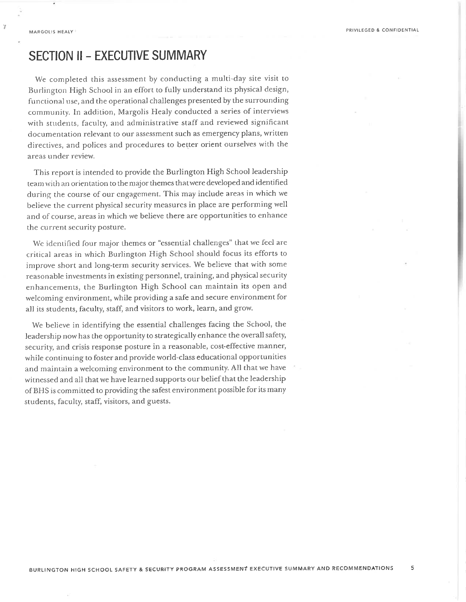$\bar{z}$ 

### **SECTION II - EXECUTIVE SUMMARY**

We completed this assessment by conducting a multi-day site visit to Burlington High School in an effort to fully understand its physical design, functional use, and the operational challenges presented by the surrounding community. In addition, Margolis Healy conducted a series of interviews with students, faculty, and administrative staff and reviewed significant documentation relevant to our assessment such as emergency plans, written directives, and polices and procedures to better orient ourselves with the areas under review.

This report is intended to provide the Burlington High School leadership team with an orientation to the major themes that were developed and identified during the course of our engagement. This may include areas in which we believe the current physical security measures in place are performing well and of course, areas in which we believe there are opportunities to enhance the current security posture.

We identified four major themes or "essential challenges" that we feel are critical areas in which Burlington High School should focus its efforts to improve short and long-term security services. We believe that with some reasonable investments in existing personnel, training, and physical security enhancements, the Burlington High School can maintain its open and welcoming environment, while providing a safe and secure environment for all its students, faculty, staff, and visitors to work, learn, and grow.

We believe in identifying the essential challenges facing the School, the leadership now has the opportunity to strategically enhance the overall safety, security, and crisis response posture in a reasonable, cost-effective manner, while continuing to foster and provide world-class educational opportunities and maintain a welcoming environment to the community. All that we have witnessed and all that we have learned supports our belief that the leadership of BHS is committed to providing the safest environment possible for its many students, faculty, staff, visitors, and guests.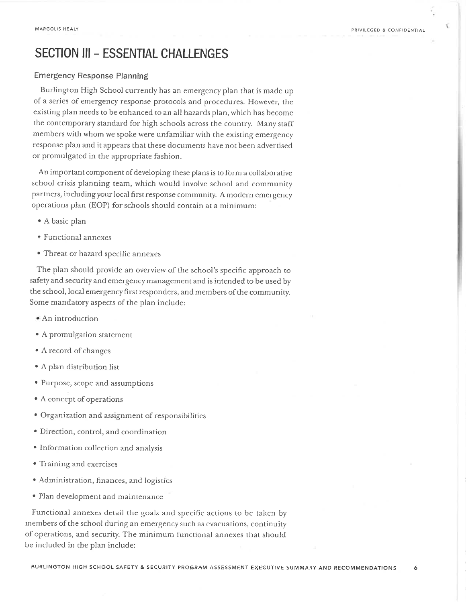Y.

# SECTION III - ESSENTIAL CHALLENGES

### Emergency Response Planning

Burlington High School currently has an emergency plan that is made up of a series of emergency response protocols and procedures. However, the existing plan needs to be enhanced to an allhazards pìan, which has become the contemporary standard for high schools across the country. Many staff members with whom we spoke were unfamiliar with the existing emergency response plan and it appears that these documents have not been advertised or promulgated in the appropriate fashion.

An important component of developing these plans is to form a collaborative school crisis planning team, which would involve school and community partners, including your local first response community. A modern emergency operations plan (EOP) for schooìs shouid contain at a minimum:

- . A basic plan
- · Functional annexe
- Threat or hazard specific annexes

The plan should provide an overview of the school's specific approach to safety and security and emergency management and is intended to be used by the school, local emergency first responders, and members of the community. Some mandatory aspects of the plan include:

- An introduction
- A promulgation statement
- A record of changes
- . A plan distribution list
- Purpose, scope and assumptions
- A concept of operations
- Organization and assignment of responsibilities
- Direction, control, and coordination
- e Information collection and analysis
- . Training and exercises
- . Administration, finances, and logistics
- . Plan development and maintenance

Functional annexes detail the goals and specific actions to be taken by members of the school during an emergency such as evacuations, continuity of operations, and security. The minimum functionaì annexes that shouìd be included in the plan include: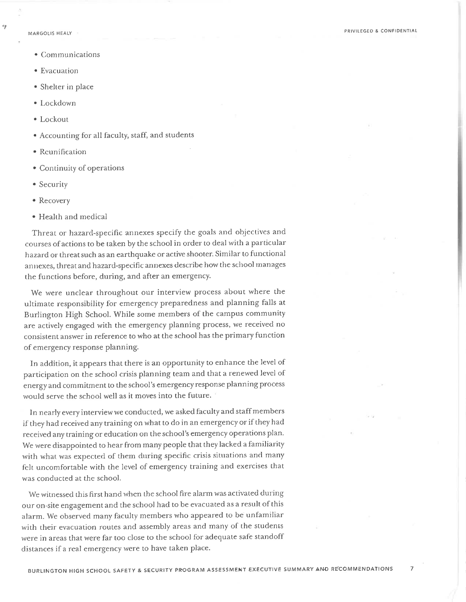۷p

- Communications
- · Evacuation
- Shelter in place
- · Lockdown
- $\bullet$  Lockout
- Accounting for all faculty, staff, and students
- · Reunification
- Continuity of operations
- Security
- Recovery
- · Health and medical

Threat or hazard-specific annexes specify the goals and objectives and courses of actions to be taken by the school in order to deal with a particular hazard or threat such as an earthquake or active shooter. Similar to functional annexes, threat and hazard-specific annexes describe how the school manages the functions before, during, and after an emergency.

We were unclear throughout our interview process about where the ultimate responsibility for emergency preparedness and planning falls at Burlington High School. While some members of the campus community are actively engaged with the emergency planning process, we received no consistent answer in reference to who at the school has the primary function of emergency response planning.

In addition, it appears that there is an opportunity to enhance the level of participation on the school crisis planning team and that a renewed level of energy and commitment to the school's emergency response planning process would serve the school well as it moves into the future.

In nearly every interview we conducted, we asked faculty and staff members if they had received any training on what to do in an emergency or if they had received any training or education on the school's emergency operations plan. We were disappointed to hear from many people that they lacked a familiarity with what was expected of them during specific crisis situations and many felt uncomfortable with the level of emergency training and exercises that was conducted at the school.

We witnessed this first hand when the school fire alarm was activated during our on-site engagement and the school had to be evacuated as a result of this alarm. We observed many faculty members who appeared to be unfamiliar with their evacuation routes and assembly areas and many of the students were in areas that were far too close to the school for adequate safe standoff distances if a real emergency were to have taken place.

 $\overline{z}$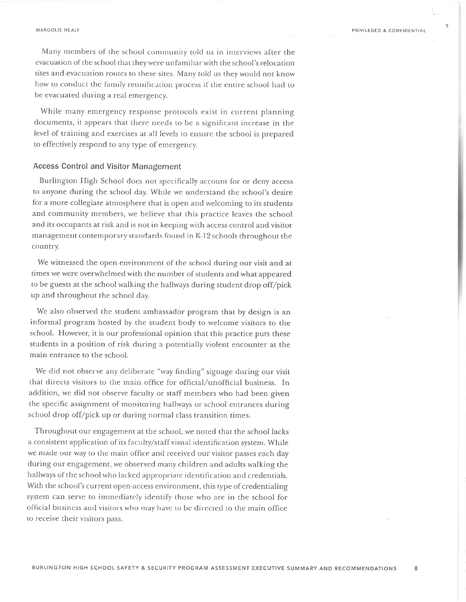$\overline{8}$ 

R

Many members of the school community told us in interviews after the evacuation of the school that they were unfamiliar with the school's relocation sites and evacuation routes to these sites. Many told us they would not know how to conduct the family reunification process if the entire school had to be evacuated during a real emergency.

While many emergency response protocols exist in current planning documents, it appears that there needs to be a significant increase in the level of training and exercises at all levels to ensure the school is prepared to effectively respond to any type of emergency.

### **Access Control and Visitor Management**

Burlington High School does not specifically account for or deny access to anyone during the school day. While we understand the school's desire for a more collegiate atmosphere that is open and welcoming to its students and community members, we believe that this practice leaves the school and its occupants at risk and is not in keeping with access control and visitor management contemporary standards found in K-12 schools throughout the country.

We witnessed the open environment of the school during our visit and at times we were overwhelmed with the number of students and what appeared to be guests at the school walking the hallways during student drop off/pick up and throughout the school day.

We also observed the student ambassador program that by design is an informal program hosted by the student body to welcome visitors to the school. However, it is our professional opinion that this practice puts these students in a position of risk during a potentially violent encounter at the main entrance to the school.

We did not observe any deliberate "way finding" signage during our visit that directs visitors to the main office for official/unofficial business. In addition, we did not observe faculty or staff members who had been given the specific assignment of monitoring hallways or school entrances during school drop off/pick up or during normal class transition times.

Throughout our engagement at the school, we noted that the school lacks a consistent application of its faculty/staff visual identification system. While we made our way to the main office and received our visitor passes each day during our engagement, we observed many children and adults walking the hallways of the school who lacked appropriate identification and credentials. With the school's current open-access environment, this type of credentialing system can serve to immediately identify those who are in the school for official business and visitors who may have to be directed to the main office to receive their visitors pass.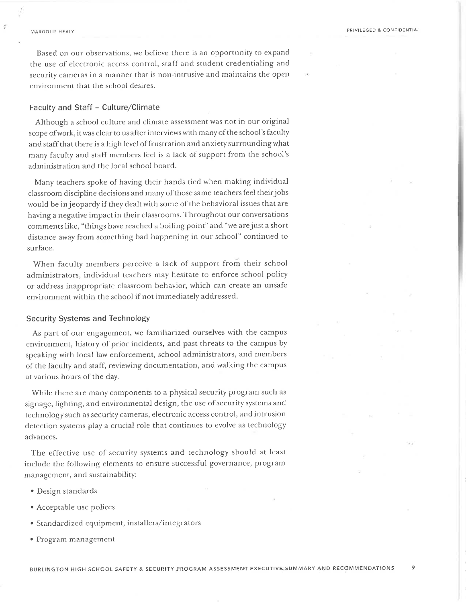Based on our observations, we believe there is an opportunity to expand the use of electronic access control, staff and student credentialing and security cameras in a manner that is non-intrusive and maintains the open environment that the school desires.

### Faculty and Staff - Culture/Climate

Although a school culture and climate assessment was not in our original scope of work, it was clear to us after interviews with many of the school's faculty and staff that there is a high level of frustration and anxiety surrounding what many faculty and staff members feel is a lack of support from the school's administration and the locaì school board.

Many teachers spoke of having their hands tied when making individual classroom discipline decisions and many of those same teachers feel theirjobs would be in jeopardy if they dealt with some of the behavioral issues that are having a negative impact in their classrooms. Throughout our conversations comments like, "things have reached a boiling point" and "we arejust a short distance away from something bad happening in our schooì" continued to surface.

When faculty members perceive a lack of support from their school administrators, individual teachers may hesitate to enforce school policy or address inappropriate classroom behavior, which can create an unsafe environment within the school if not immediately addressed.

#### Security Systems and Technology

As part of our engagement, we familiarized ourselves with the campus environment, history of prior incidents, and past threats to the campus by speaking with locai law enforcement, school administrators, and members of the faculty and staff, reviewing documentation, and walking the campus at various hours of the day.

While there are many components to a physical security program such as signage, lighting, and environmental design, the use of security systems and technology such as security cameras, electronic access control, and intrusion detection systems play a crucial role that continues to evolve as technology advances.

The effective use of security systems and technoìogy should at least include the following elements to ensure successful governance, program manasement, and sustainability:

- . Design standards
- . Acceptable use polices
- . Standardized equipment, installers/integrators
- ' Program management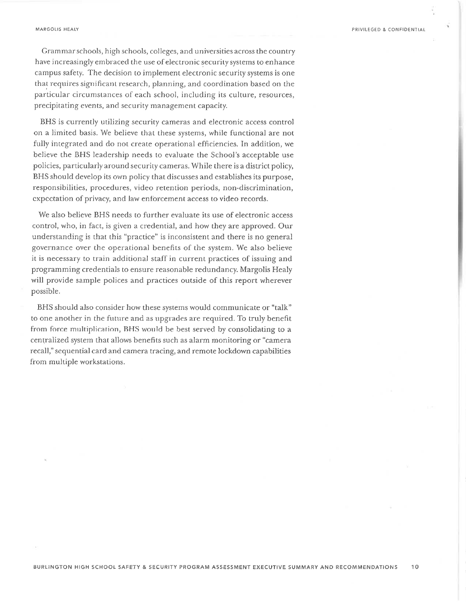#### MARGOLIS HEALY

PRIVILEGED & CONFIDENTIAL

Grammar schools, high schools, colleges, and universities across the country have increasingly embraced the use of electronic security systems to enhance campus safety. The decision to implement electronic security systems is one that requires significant research, planning, and coordination based on the particular circumstances of each school, including its culture, resources, precipitating events, and security management capacity.

BHS is currently utilizing security cameras and electronic access control on a limited basis. We believe that these systems, while functional are not fully integrated and do not create operational efficiencies. In addition, we believe the BHS leadership needs to evaluate the School's acceptable use policies, particularly around security cameras. While there is a district policy, BHS should develop its own policy that discusses and establishes its purpose, responsibilities, procedures, video retention periods, non-discrimination, expectation of privacy, and law enforcement access to video records.

We also believe BHS needs to further evaluate its use of electronic access control, who, in fact, is given a credential, and how they are approved. Our understanding is that this "practice" is inconsistent and there is no general governance over the operational benefits of the system. We also believe it is necessary to train additional staff in current practices of issuing and programming credentials to ensure reasonable redundancy. Margolis Healy will provide sample polices and practices outside of this report wherever possible.

BHS should also consider how these systems would communicate or "talk" to one another in the future and as upgrades are required. To truly benefit from force multiplication, BHS would be best served by consolidating to a centralized system that allows benefits such as alarm monitoring or "camera recall," sequential card and camera tracing, and remote lockdown capabilities from multiple workstations.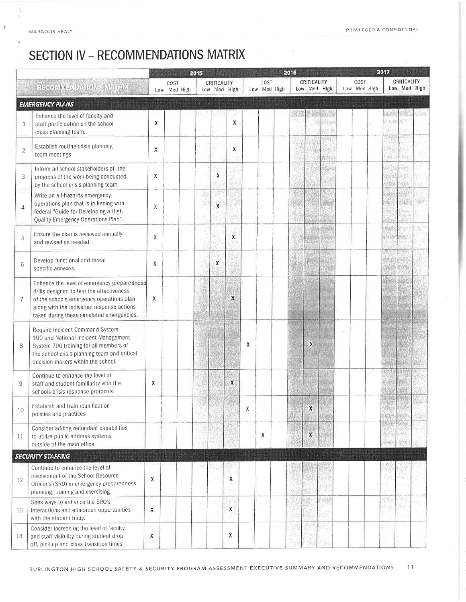ğ

¥

# **SECTION IV - RECOMMENDATIONS MATRIX**

|                |                                                                                                                                                                                                                                 | STRONGER T<br>2015<br><b>1.804 F</b> |                      |  |  |             |              |   |                      | 2016 |  |                             | 2017 |  |                      |  |                     |                             |  |
|----------------|---------------------------------------------------------------------------------------------------------------------------------------------------------------------------------------------------------------------------------|--------------------------------------|----------------------|--|--|-------------|--------------|---|----------------------|------|--|-----------------------------|------|--|----------------------|--|---------------------|-----------------------------|--|
|                | RECOMMENDATIONS MATRIX                                                                                                                                                                                                          |                                      | COST<br>Low Med High |  |  | CRITICALITY | Low Med High |   | COST<br>Low Med High |      |  | CRITICALITY<br>Low Med High |      |  | COST<br>Low Med High |  |                     | CRITICALITY<br>Low Med High |  |
|                | <b>EMERGENCY PLANS</b>                                                                                                                                                                                                          |                                      |                      |  |  |             |              |   |                      |      |  |                             |      |  |                      |  |                     |                             |  |
| 1              | Enhance the level of faculty and<br>staff participation on the school<br>crisis planning team.                                                                                                                                  | X                                    |                      |  |  |             | $\mathbf x$  |   |                      |      |  |                             |      |  |                      |  | OKO<br>gi)          |                             |  |
| $\overline{2}$ | Establish routine crisis planning<br>team meetings.                                                                                                                                                                             | χ                                    |                      |  |  |             | x            |   |                      |      |  |                             |      |  |                      |  |                     |                             |  |
| 3              | Inform all school stakeholders of the<br>progress of the work being conducted<br>by the school crisis planning team.                                                                                                            | X                                    |                      |  |  | X           |              |   |                      |      |  |                             |      |  |                      |  | 9923<br><b>LESS</b> |                             |  |
| 4              | Write an all-hazards emergency<br>operations plan that is in keping with<br>federal "Guide for Developing a High<br>Quality Emergency Operations Plan".                                                                         | χ                                    |                      |  |  | X           |              |   |                      |      |  |                             |      |  |                      |  |                     |                             |  |
| 5              | Ensure the plan is reviewed annually<br>and revised as needed.                                                                                                                                                                  | X                                    |                      |  |  |             | X            |   |                      |      |  |                             |      |  |                      |  | 4.<br>2518          |                             |  |
| 6              | Develop functional and threat<br>specific annexes.                                                                                                                                                                              | χ                                    |                      |  |  | X           |              |   |                      |      |  |                             |      |  |                      |  |                     |                             |  |
| $\overline{7}$ | Enhance the level of emergency preparedness<br>drills designed to test the effectiveness<br>of the schools emergency operations plan<br>along with the individual response actions<br>taken during these simulated emergencies. | $\chi$                               |                      |  |  |             | X            |   |                      |      |  |                             |      |  |                      |  |                     |                             |  |
| 8              | Require Incident Command System<br>100 and National Incident Management<br>System 700 training for all members of<br>the school crisis planning team and critical<br>decision makers within the school.                         |                                      |                      |  |  |             |              | X |                      |      |  | X                           |      |  |                      |  |                     |                             |  |
| 9              | Continue to enhance the level of<br>staff and student familiarity with the<br>schools crisis response protocols.                                                                                                                | Х                                    |                      |  |  |             | X            |   |                      |      |  |                             |      |  |                      |  |                     |                             |  |
| 10             | Establish and train reunification<br>policies and practices                                                                                                                                                                     |                                      |                      |  |  |             |              | ٨ |                      |      |  | Y                           |      |  |                      |  |                     |                             |  |
| 11             | Consider adding redundant capabilities<br>to utilize public address systems<br>outside of the main office                                                                                                                       |                                      |                      |  |  |             |              |   | χ                    |      |  | X                           |      |  |                      |  |                     |                             |  |
|                | <b>SECURITY STAFFING</b>                                                                                                                                                                                                        |                                      |                      |  |  |             |              |   |                      |      |  |                             |      |  |                      |  |                     |                             |  |
| 12             | Continue to enhance the level of<br>involvement of the School Resource<br>Officer's (SRO) in emergency preparedness<br>planning, training and exercising.                                                                       | Х                                    |                      |  |  |             | Χ            |   |                      |      |  |                             |      |  |                      |  |                     |                             |  |
| 13             | Seek ways to enhance the SRO's<br>interactions and education opportunities<br>with the student body.                                                                                                                            | X                                    |                      |  |  |             | X            |   |                      |      |  |                             | seg  |  |                      |  | 33<br>154.15        | un,<br>83                   |  |
| 14             | Consider increasing the level of faculty<br>and staff visibility during student drop<br>off pick up and class transition times                                                                                                  | Х                                    |                      |  |  |             | x            |   |                      |      |  |                             |      |  |                      |  |                     |                             |  |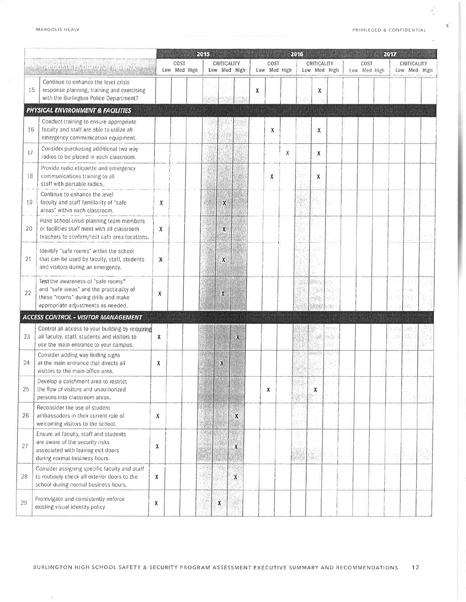MARGOLIS HEALY

 $\tilde{\chi}^{\prime}_{\rm f}$ 

Ň

 $\alpha$ 

 $\mathcal{R}$ 

|    |                                                                                                                                                              |   | <b>BRUTHER</b><br>2015 |  |                             |                           |   |   |                      |       | 2016                        |        |                | 2017 |                      |  |     |          |                             |  |
|----|--------------------------------------------------------------------------------------------------------------------------------------------------------------|---|------------------------|--|-----------------------------|---------------------------|---|---|----------------------|-------|-----------------------------|--------|----------------|------|----------------------|--|-----|----------|-----------------------------|--|
|    | <b>RELEASED FOR A DISPOSITI</b>                                                                                                                              |   | COST<br>Low Med High   |  | CRITICALITY<br>Low Med High |                           |   |   | COST<br>Low Med High |       | CRITICALITY<br>Low Med High |        |                |      | COST<br>Low Med High |  |     |          | CRITICALITY<br>Low Med High |  |
| 15 | Continue to enhance the level crisis<br>response planning, training and exercising<br>with the Burlington Police Department?                                 |   |                        |  |                             |                           |   | х |                      |       |                             | х      |                |      |                      |  |     |          |                             |  |
|    | PHYSICAL ENVIRONMENT & FACILITIES                                                                                                                            |   |                        |  |                             |                           |   |   |                      |       |                             |        |                |      |                      |  |     |          |                             |  |
| 16 | Conduct training to ensure appropriate<br>faculty and staff are able to utilize all<br>emergency communication equipment.                                    |   |                        |  |                             |                           |   |   | Χ                    |       |                             | X      |                |      |                      |  |     |          |                             |  |
| 17 | Consider purchasing additional two way<br>radios to be placed in each classroom.                                                                             |   |                        |  |                             |                           |   |   |                      | х     |                             | χ      |                |      |                      |  |     |          |                             |  |
| 18 | Provide radio etiquette and emergency<br>communications training to all<br>staff with portable radios.                                                       |   |                        |  |                             |                           |   |   | X                    |       |                             | χ      |                |      |                      |  |     |          |                             |  |
| 19 | Continue to enhance the level<br>faculty and staff familiarity of "safe<br>areas" within each classroom.                                                     | X |                        |  |                             | X                         |   |   |                      |       |                             |        |                |      |                      |  |     |          |                             |  |
| 20 | Have school crisis planning team members<br>or facilities staff meet with all classroom<br>teachers to confirm/test safe area locations.                     | x |                        |  |                             | X                         |   |   |                      |       |                             |        |                |      |                      |  |     |          |                             |  |
| 21 | Identify "safe rooms" within the school<br>that can be used by faculty, staff, students<br>and visitors during an emergency.                                 | X |                        |  |                             | χ                         |   |   |                      |       | 636)                        |        |                |      |                      |  |     |          |                             |  |
| 22 | Test the awareness of "safe rooms"<br>and "safe areas" and the practicality of<br>these "rooms" during drills and make<br>appropriate adjustments as needed. | Х |                        |  |                             | X                         |   |   |                      |       |                             | idetti | tales.<br>f in |      |                      |  |     | m<br>htű |                             |  |
|    | <b>ACCESS CONTROL - VISITOR MANAGEMENT</b>                                                                                                                   |   |                        |  |                             |                           |   |   |                      | uummi |                             |        |                |      |                      |  |     |          |                             |  |
| 23 | Control all access to your building by requiring<br>all faculty, staff, students and visitors to<br>use the main entrance to your campus.                    | χ |                        |  |                             |                           | X |   |                      |       |                             |        | 45             |      |                      |  | وري | 981      |                             |  |
| 24 | Consider adding way finding signs<br>at the main entrance that directs all<br>visitors to the main office area.                                              | х |                        |  |                             | $\mathbf{x}$              |   |   |                      |       |                             |        |                |      |                      |  |     |          |                             |  |
|    | Develop a catchment area to restrict<br>the flow of visitors and unauthorized<br>persons into classroom areas.                                               |   |                        |  |                             |                           |   |   | X                    |       | 鄉                           | X,     |                |      |                      |  |     |          |                             |  |
| 26 | Reconsider the use of student<br>ambassadors in their current role of<br>welcoming visitors to the school.                                                   | Χ |                        |  |                             |                           | X |   |                      |       | 호리                          |        |                |      |                      |  |     |          |                             |  |
| 27 | Ensure all faculty, staff and students<br>are aware of the security risks<br>associated with leaving exit doors<br>during normal business hours.             | χ |                        |  |                             |                           | χ |   |                      |       |                             | 9,     |                |      |                      |  |     |          | ŵ                           |  |
| 28 | Consider assigning specific faculty and staff<br>to routinely check all exterior doors to the<br>school during normal business hours.                        | χ |                        |  |                             |                           | X |   |                      |       |                             |        |                |      |                      |  |     |          |                             |  |
| 29 | Promulgate and consistently enforce<br>existing visual identity policy                                                                                       | χ |                        |  |                             | $\boldsymbol{\mathsf{X}}$ |   |   |                      |       |                             |        |                |      |                      |  |     |          |                             |  |

BURLINGTON HIGH SCHOOL SAFETY & SECURITY PROGRAM ASSESSMENT EXECUTIVE SUMMARY AND RECOMMENDATIONS  $12$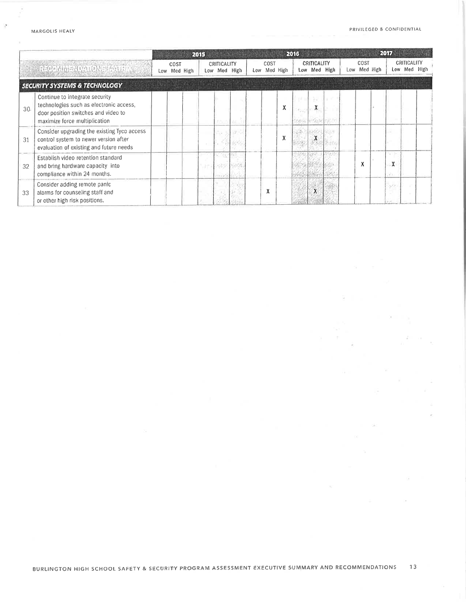×

g

 $\kappa$ 

 $\leq$ 

 $\zeta$  (ii)

Ř.

|                  |                                                                                                                                                   |  |                      | 2015 |  |                             |  |  |                      |   | 2016             |                                  |  | 2017 |                      |  |                         |                             |  |  |  |  |
|------------------|---------------------------------------------------------------------------------------------------------------------------------------------------|--|----------------------|------|--|-----------------------------|--|--|----------------------|---|------------------|----------------------------------|--|------|----------------------|--|-------------------------|-----------------------------|--|--|--|--|
| He had structure |                                                                                                                                                   |  | COST<br>Low Med High |      |  | CRITICALITY<br>Low Med High |  |  | COST<br>Low Med High |   |                  | CRITICALITY<br>Low Med High      |  |      | COST<br>Low Med High |  |                         | CRITICALITY<br>Low Med High |  |  |  |  |
|                  | <b>SECURITY SYSTEMS &amp; TECHNOLOGY</b>                                                                                                          |  |                      |      |  |                             |  |  |                      |   |                  |                                  |  |      |                      |  |                         |                             |  |  |  |  |
| 30               | Continue to integrate security<br>technologies such as electronic access,<br>door position switches and video to<br>maximize force multiplication |  |                      |      |  |                             |  |  |                      | x | <b>Celebrati</b> | <b>SOC</b><br>$\lambda$<br>which |  |      |                      |  |                         |                             |  |  |  |  |
| 31               | Consider upgrading the existing Tyco access<br>control system to newer version after<br>evaluation of existing and future needs                   |  |                      |      |  |                             |  |  |                      | χ | ïй               | л                                |  |      |                      |  | $\sim$                  |                             |  |  |  |  |
| 32               | Establish video retention standard<br>and bring hardware capacity into<br>compliance within 24 months.                                            |  |                      |      |  | $-0.0228$                   |  |  |                      |   |                  |                                  |  |      | X                    |  | $\boldsymbol{X}$<br>Vo. |                             |  |  |  |  |
| 33               | Consider adding remote panic<br>alarms for counseling staff and<br>or other high risk positions.                                                  |  |                      |      |  |                             |  |  | $\mathbf{v}$<br>A    |   |                  | л                                |  |      |                      |  | マルチン                    |                             |  |  |  |  |

 $\geq 7$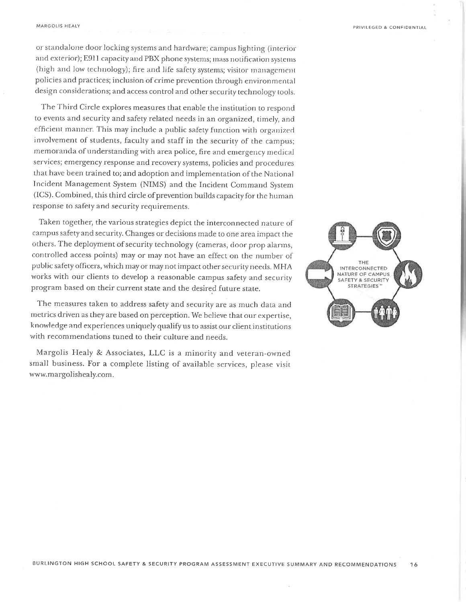or standalone door locking systems and hardware; campus lighting (interior and exterior); E911 capacity and PBX phone systems; mass notification systems (high and low technology); fire and life safety systems; visitor management policies and practices; inclusion of crime prevention through environmental design considerations; and access control and other security technology tools.

The Third Circle explores measures that enable the institution to respond to events and security and safety related needs in an organized, timely, and efficient manner. This may include a public safety function with organized involvement of students, faculty and staff in the security of the campus; memoranda of understanding with area police, fire and emergency medical services; emergency response and recovery systems, policies and procedures that have been trained to; and adoption and implementation of the National Incident Management System (NIMS) and the Incident Command System (ICS). Combined, this third circle of prevention builds capacity for the human response to safety and security requirements.

Taken together, the various strategies depict the interconnected nature of campus safety and security. Changes or decisions made to one area impact the others. The deployment of security technology (cameras, door prop alarms, controlled access points) may or may not have an effect on the number of public safety officers, which may or may not impact other security needs. MHA works with our clients to develop a reasonable campus safety and security program based on their current state and the desired future state.

The measures taken to address safety and security are as much data and metrics driven as they are based on perception. We believe that our expertise, knowledge and experiences uniquely qualify us to assist our client institutions with recommendations tuned to their culture and needs.

Margolis Healy & Associates, LLC is a minority and veteran-owned small business. For a complete listing of available services, please visit www.margolishealy.com.

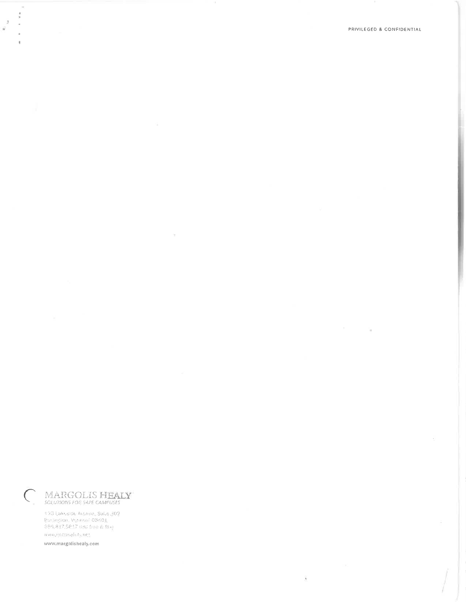The Contract

 $\hat{\mathcal{F}}$ 

MARGOLIS HEALY

 $\langle \eta \rangle$  .

120 Lakosido Avonie: Sulto 302.<br>Per inglant Vrhient: 05401. 859 817,5817 doll file & fax) www.rtccpnafety.org

www.margolishealy.com

 $\bar{z}$ 

 $\lambda$